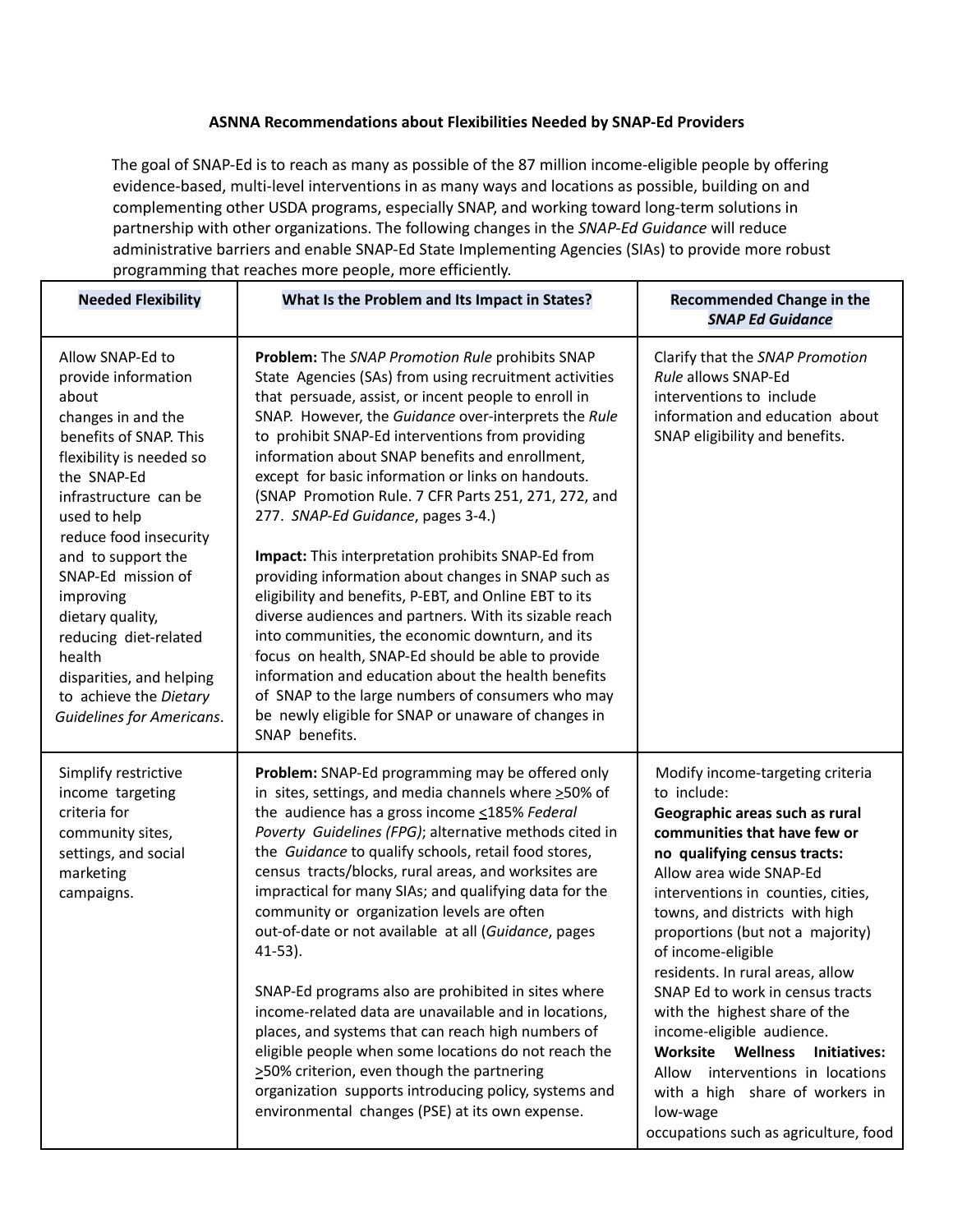## **ASNNA Recommendations about Flexibilities Needed by SNAP-Ed Providers**

The goal of SNAP-Ed is to reach as many as possible of the 87 million income-eligible people by offering evidence-based, multi-level interventions in as many ways and locations as possible, building on and complementing other USDA programs, especially SNAP, and working toward long-term solutions in partnership with other organizations. The following changes in the *SNAP-Ed Guidance* will reduce administrative barriers and enable SNAP-Ed State Implementing Agencies (SIAs) to provide more robust programming that reaches more people, more efficiently.

| <b>Needed Flexibility</b>                                                                                                                                                                                                                                                                                                                                                                                                | What Is the Problem and Its Impact in States?                                                                                                                                                                                                                                                                                                                                                                                                                                                                                                                                                                                                                                                                                                                                                                                                                                                                                                                                                                        | <b>Recommended Change in the</b><br><b>SNAP Ed Guidance</b>                                                                                                                                                                                                                                                                                                                                                                                                                                                                                                                                                           |
|--------------------------------------------------------------------------------------------------------------------------------------------------------------------------------------------------------------------------------------------------------------------------------------------------------------------------------------------------------------------------------------------------------------------------|----------------------------------------------------------------------------------------------------------------------------------------------------------------------------------------------------------------------------------------------------------------------------------------------------------------------------------------------------------------------------------------------------------------------------------------------------------------------------------------------------------------------------------------------------------------------------------------------------------------------------------------------------------------------------------------------------------------------------------------------------------------------------------------------------------------------------------------------------------------------------------------------------------------------------------------------------------------------------------------------------------------------|-----------------------------------------------------------------------------------------------------------------------------------------------------------------------------------------------------------------------------------------------------------------------------------------------------------------------------------------------------------------------------------------------------------------------------------------------------------------------------------------------------------------------------------------------------------------------------------------------------------------------|
| Allow SNAP-Ed to<br>provide information<br>about<br>changes in and the<br>benefits of SNAP. This<br>flexibility is needed so<br>the SNAP-Ed<br>infrastructure can be<br>used to help<br>reduce food insecurity<br>and to support the<br>SNAP-Ed mission of<br>improving<br>dietary quality,<br>reducing diet-related<br>health<br>disparities, and helping<br>to achieve the Dietary<br><b>Guidelines for Americans.</b> | Problem: The SNAP Promotion Rule prohibits SNAP<br>State Agencies (SAs) from using recruitment activities<br>that persuade, assist, or incent people to enroll in<br>SNAP. However, the Guidance over-interprets the Rule<br>to prohibit SNAP-Ed interventions from providing<br>information about SNAP benefits and enrollment,<br>except for basic information or links on handouts.<br>(SNAP Promotion Rule. 7 CFR Parts 251, 271, 272, and<br>277. SNAP-Ed Guidance, pages 3-4.)<br>Impact: This interpretation prohibits SNAP-Ed from<br>providing information about changes in SNAP such as<br>eligibility and benefits, P-EBT, and Online EBT to its<br>diverse audiences and partners. With its sizable reach<br>into communities, the economic downturn, and its<br>focus on health, SNAP-Ed should be able to provide<br>information and education about the health benefits<br>of SNAP to the large numbers of consumers who may<br>be newly eligible for SNAP or unaware of changes in<br>SNAP benefits. | Clarify that the SNAP Promotion<br>Rule allows SNAP-Ed<br>interventions to include<br>information and education about<br>SNAP eligibility and benefits.                                                                                                                                                                                                                                                                                                                                                                                                                                                               |
| Simplify restrictive<br>income targeting<br>criteria for<br>community sites,<br>settings, and social<br>marketing<br>campaigns.                                                                                                                                                                                                                                                                                          | Problem: SNAP-Ed programming may be offered only<br>in sites, settings, and media channels where $\geq$ 50% of<br>the audience has a gross income <185% Federal<br>Poverty Guidelines (FPG); alternative methods cited in<br>the Guidance to qualify schools, retail food stores,<br>census tracts/blocks, rural areas, and worksites are<br>impractical for many SIAs; and qualifying data for the<br>community or organization levels are often<br>out-of-date or not available at all (Guidance, pages<br>$41-53$ ).<br>SNAP-Ed programs also are prohibited in sites where<br>income-related data are unavailable and in locations,<br>places, and systems that can reach high numbers of<br>eligible people when some locations do not reach the<br>>50% criterion, even though the partnering<br>organization supports introducing policy, systems and<br>environmental changes (PSE) at its own expense.                                                                                                      | Modify income-targeting criteria<br>to include:<br>Geographic areas such as rural<br>communities that have few or<br>no qualifying census tracts:<br>Allow area wide SNAP-Ed<br>interventions in counties, cities,<br>towns, and districts with high<br>proportions (but not a majority)<br>of income-eligible<br>residents. In rural areas, allow<br>SNAP Ed to work in census tracts<br>with the highest share of the<br>income-eligible audience.<br>Worksite Wellness<br>Initiatives:<br>Allow interventions in locations<br>with a high share of workers in<br>low-wage<br>occupations such as agriculture, food |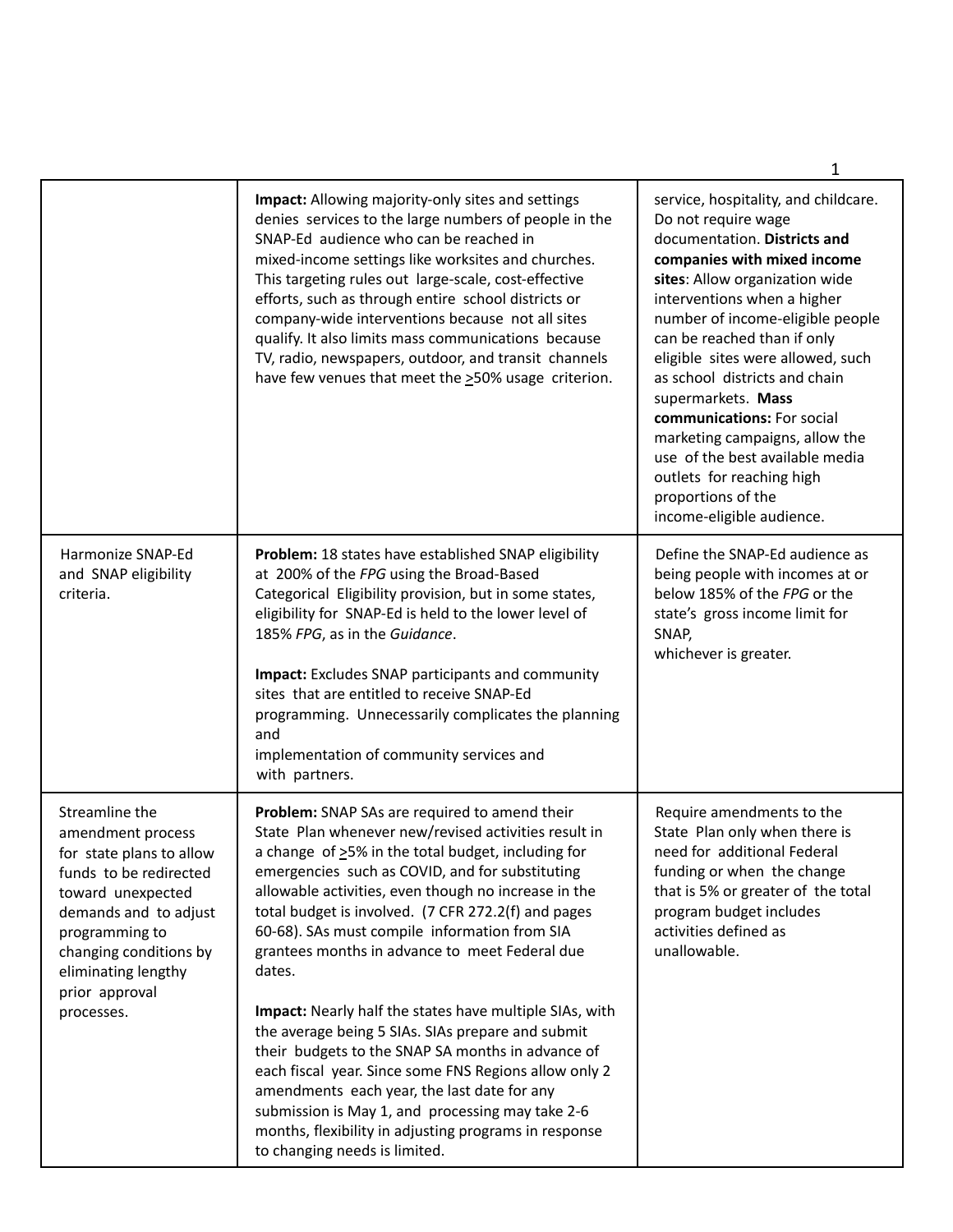|                                                                                                                                                                                                                                                                                                                                                                                                                                                                                                                                                                                                                                                                                                                                                                                                                                      | 1                                                                                                                                                                                                                                                                                                                                                                                                                                                                                                                                             |
|--------------------------------------------------------------------------------------------------------------------------------------------------------------------------------------------------------------------------------------------------------------------------------------------------------------------------------------------------------------------------------------------------------------------------------------------------------------------------------------------------------------------------------------------------------------------------------------------------------------------------------------------------------------------------------------------------------------------------------------------------------------------------------------------------------------------------------------|-----------------------------------------------------------------------------------------------------------------------------------------------------------------------------------------------------------------------------------------------------------------------------------------------------------------------------------------------------------------------------------------------------------------------------------------------------------------------------------------------------------------------------------------------|
| Impact: Allowing majority-only sites and settings<br>denies services to the large numbers of people in the<br>SNAP-Ed audience who can be reached in<br>mixed-income settings like worksites and churches.<br>This targeting rules out large-scale, cost-effective<br>efforts, such as through entire school districts or<br>company-wide interventions because not all sites<br>qualify. It also limits mass communications because<br>TV, radio, newspapers, outdoor, and transit channels<br>have few venues that meet the >50% usage criterion.                                                                                                                                                                                                                                                                                  | service, hospitality, and childcare.<br>Do not require wage<br>documentation. Districts and<br>companies with mixed income<br>sites: Allow organization wide<br>interventions when a higher<br>number of income-eligible people<br>can be reached than if only<br>eligible sites were allowed, such<br>as school districts and chain<br>supermarkets. Mass<br>communications: For social<br>marketing campaigns, allow the<br>use of the best available media<br>outlets for reaching high<br>proportions of the<br>income-eligible audience. |
| Problem: 18 states have established SNAP eligibility<br>at 200% of the FPG using the Broad-Based<br>Categorical Eligibility provision, but in some states,<br>eligibility for SNAP-Ed is held to the lower level of<br>185% FPG, as in the Guidance.<br><b>Impact:</b> Excludes SNAP participants and community<br>sites that are entitled to receive SNAP-Ed<br>programming. Unnecessarily complicates the planning<br>and<br>implementation of community services and<br>with partners.                                                                                                                                                                                                                                                                                                                                            | Define the SNAP-Ed audience as<br>being people with incomes at or<br>below 185% of the FPG or the<br>state's gross income limit for<br>SNAP,<br>whichever is greater.                                                                                                                                                                                                                                                                                                                                                                         |
| Problem: SNAP SAs are required to amend their<br>State Plan whenever new/revised activities result in<br>a change of >5% in the total budget, including for<br>emergencies such as COVID, and for substituting<br>allowable activities, even though no increase in the<br>total budget is involved. (7 CFR 272.2(f) and pages<br>60-68). SAs must compile information from SIA<br>grantees months in advance to meet Federal due<br>dates.<br>Impact: Nearly half the states have multiple SIAs, with<br>the average being 5 SIAs. SIAs prepare and submit<br>their budgets to the SNAP SA months in advance of<br>each fiscal year. Since some FNS Regions allow only 2<br>amendments each year, the last date for any<br>submission is May 1, and processing may take 2-6<br>months, flexibility in adjusting programs in response | Require amendments to the<br>State Plan only when there is<br>need for additional Federal<br>funding or when the change<br>that is 5% or greater of the total<br>program budget includes<br>activities defined as<br>unallowable.                                                                                                                                                                                                                                                                                                             |
|                                                                                                                                                                                                                                                                                                                                                                                                                                                                                                                                                                                                                                                                                                                                                                                                                                      | to changing needs is limited.                                                                                                                                                                                                                                                                                                                                                                                                                                                                                                                 |